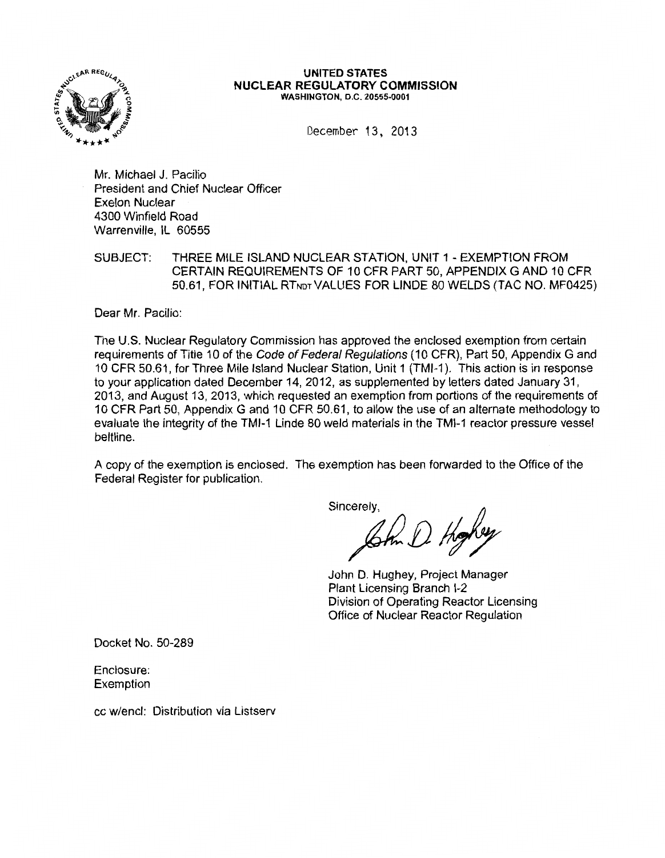

#### UNITED STATES NUCLEAR REGULATORY COMMISSION WASHINGTON, D.C. 20555-0001

December 13, 2013

Mr. Michael J. Pacilio President and Chief Nuclear Officer Exelon Nuclear 4300 Winfield Road Warrenville, IL 60555

SUBJECT: THREE MILE ISLAND NUCLEAR STATION, UNIT 1 - EXEMPTION FROM CERTAIN REQUIREMENTS OF 10 CFR PART 50, APPENDIX G AND 10 CFR 50.61, FOR INITIAL RTNDT VALUES FOR LINDE 80 WELDS (TAC NO. MF0425)

Dear Mr. Pacilio:

The U.S. Nuclear Regulatory Commission has approved the enclosed exemption from certain requirements of Title 10 of the Code of Federal Regulations (10 CFR), Part 50, Appendix G and 10 CFR 50.61, for Three Mile Island Nuclear Station, Unit 1 (TMI-1 ). This action is in response to your application dated December 14, 2012, as supplemented by letters dated January 31, 2013, and August 13, 2013, which requested an exemption from portions of the requirements of 10 CFR Part 50, Appendix G and 10 CFR 50.61, to allow the use of an alternate methodology to evaluate the integrity of the TMI-1 Linde 80 weld materials in the TMI-1 reactor pressure vessel beltline.

A copy of the exemption is enclosed. The exemption has been forwarded to the Office of the Federal Register for publication.

Sincerely,

 $\mathcal{G}$ th  $D$  Hg

John D. Hughey, Project Manager Plant Licensing Branch 1-2 Division of Operating Reactor Licensing Office of Nuclear Reactor Regulation

Docket No. 50-289

Enclosure: Exemption

cc w/encl: Distribution via Listserv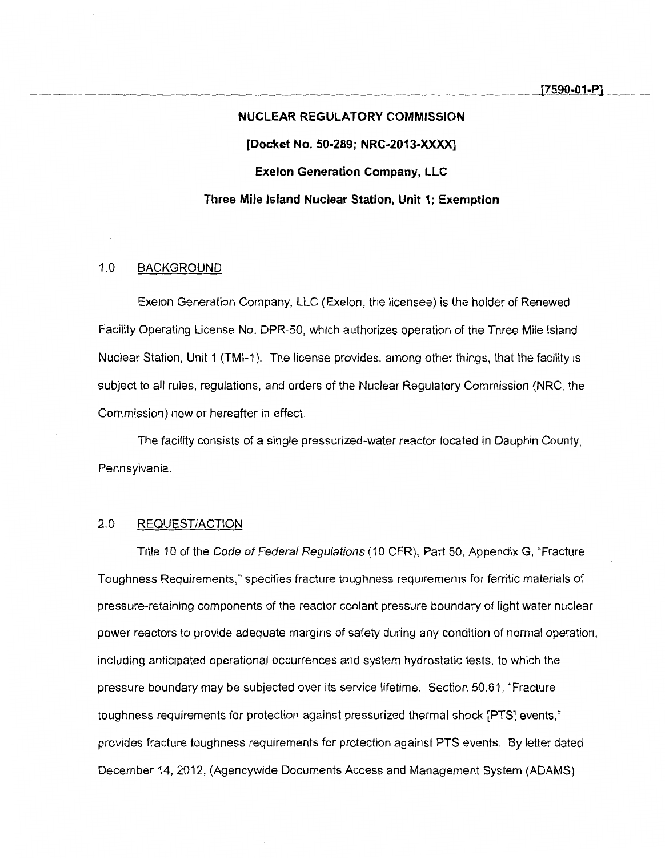# **NUCLEAR REGULATORY COMMISSION [Docket No. 50-289; NRC-2013-XXXX] Exelon Generation Company, LLC Three Mile Island Nuclear Station, Unit 1; Exemption**

# 1.0 BACKGROUND

Exelon Generation Company, LLC (Exelon, the licensee) is the holder of Renewed Facility Operating License No. DPR-50, which authorizes operation of the Three Mile Island Nuclear Station, Unit 1 (TMI-1 ). The license provides, among other things, that the facility is subject to all rules, regulations, and orders of the Nuclear Regulatory Commission (NRC, the Commission) now or hereafter in effect.

The facility consists of a single pressurized-water reactor located in Dauphin County, Pennsylvania.

## 2.0 REQUEST/ACTION

Title 10 of the Code of Federal Regulations (10 CFR), Part 50, Appendix G, "Fracture Toughness Requirements," specifies fracture toughness requirements for ferritic materials of pressure-retaining components of the reactor coolant pressure boundary of light water nuclear power reactors to provide adequate margins of safety during any condition of normal operation, including anticipated operational occurrences and system hydrostatic tests, to which the pressure boundary may be subjected over its service lifetime. Section 50.61, "Fracture toughness requirements for protection against pressurized thermal shock [PTS] events," provides fracture toughness requirements for protection against PTS events. By letter dated December 14, 2012, (Agencywide Documents Access and Management System (ADAMS)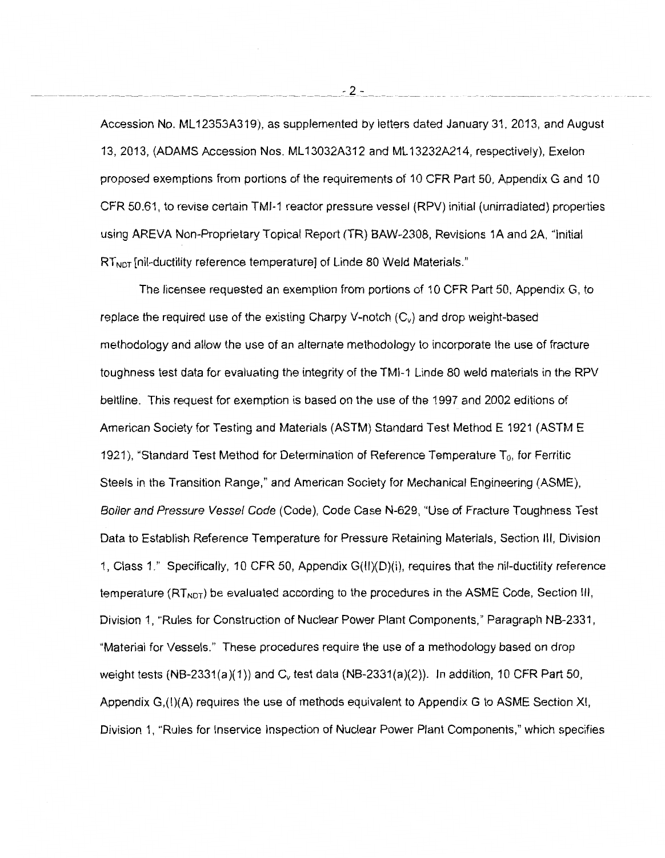Accession No. ML 12353A319), as supplemented by letters dated January 31, 2013, and August 13, 2013, (ADAMS Accession Nos. ML 13032A312 and ML 13232A214, respectively), Exelon proposed exemptions from portions of the requirements of 10 CFR Part 50, Appendix G and 10 CFR 50.61, to revise certain TMI-1 reactor pressure vessel (RPV) initial (unirradiated) properties using AREVA Non-Proprietary Topical Report (TR) BAW-2308, Revisions 1A and 2A, "Initial  $RT<sub>NOT</sub>$  [nil-ductility reference temperature] of Linde 80 Weld Materials."

The licensee requested an exemption from portions of 10 CFR Part 50, Appendix G, to replace the required use of the existing Charpy V-notch  $(C_v)$  and drop weight-based methodology and allow the use of an alternate methodology to incorporate the use of fracture toughness test data for evaluating the integrity of the TMI-1 Linde 80 weld materials in the RPV beltline. This request for exemption is based on the use of the 1997 and 2002 editions of American Society for Testing and Materials (ASTM) Standard Test Method E 1921 (ASTM E 1921), "Standard Test Method for Determination of Reference Temperature  $T_0$ , for Ferritic Steels in the Transition Range," and American Society for Mechanical Engineering (ASME), Boiler and Pressure Vessel Code (Code), Code Case N-629, "Use of Fracture Toughness Test Data to Establish Reference Temperature for Pressure Retaining Materials, Section Ill, Division 1, Class 1." Specifically, 10 CFR 50, Appendix G(II)(D)(i), requires that the nil-ductility reference temperature  $(RT<sub>NOT</sub>)$  be evaluated according to the procedures in the ASME Code, Section III, Division 1, "Rules for Construction of Nuclear Power Plant Components," Paragraph NB-2331, "Material for Vessels." These procedures require the use of a methodology based on drop weight tests (NB-2331(a)(1)) and  $C_v$  test data (NB-2331(a)(2)). In addition, 10 CFR Part 50, Appendix G,(I)(A) requires the use of methods equivalent to Appendix G to ASME Section XI, Division 1, "Rules for lnservice Inspection of Nuclear Power Plant Components," which specifies

------------------ ------~---------------- ------- ---------- \_\_\_\_\_\_ -\_Z\_-\_ \_\_ --- ---- -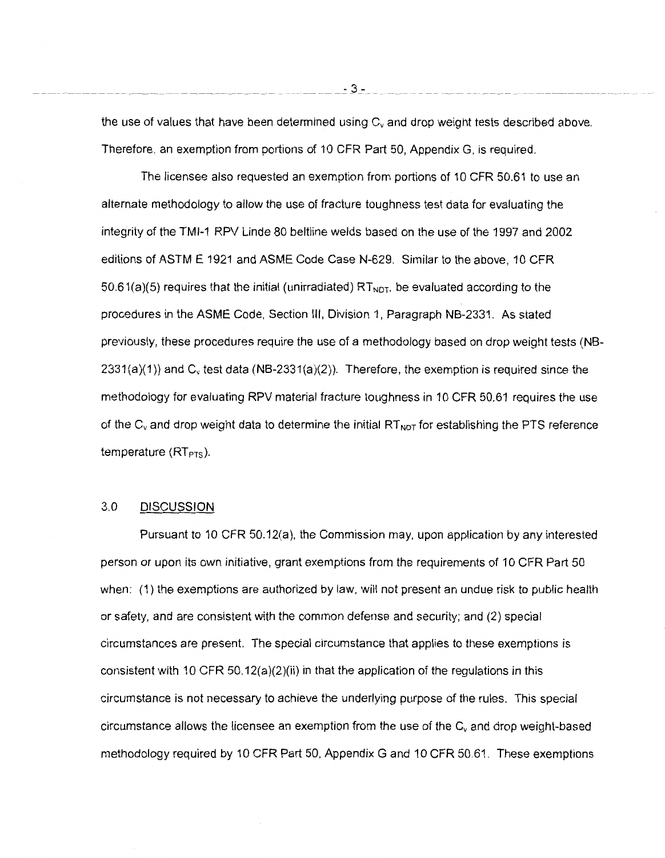the use of values that have been determined using  $C_v$  and drop weight tests described above. Therefore, an exemption from portions of 10 CFR Part 50, Appendix G, is required.

The licensee also requested an exemption from portions of 10 CFR 50.61 to use an alternate methodology to allow the use of fracture toughness test data for evaluating the integrity of the TMI-1 RPV Linde 80 beltline welds based on the use of the 1997 and 2002 editions of ASTM E 1921 and ASME Code Case N-629. Similar to the above, 10 CFR 50.61(a)(5) requires that the initial (unirradiated)  $RT_{NDT}$ , be evaluated according to the procedures in the ASME Code, Section Ill, Division 1, Paragraph NB-2331. As stated previously, these procedures require the use of a methodology based on drop weight tests (NB- $2331(a)(1)$ ) and C<sub>v</sub> test data (NB-2331(a)(2)). Therefore, the exemption is required since the methodology for evaluating RPV material fracture toughness in 10 CFR 50.61 requires the use of the  $C_v$  and drop weight data to determine the initial  $RT_{NOT}$  for establishing the PTS reference temperature  $(RT<sub>PTS</sub>)$ .

## 3.0 DISCUSSION

Pursuant to 10 CFR 50.12(a), the Commission may, upon application by any interested person or upon its own initiative, grant exemptions from the requirements of 10 CFR Part 50 when: (1) the exemptions are authorized by law, will not present an undue risk to public health or safety, and are consistent with the common defense and security; and (2) special circumstances are present. The special circumstance that applies to these exemptions is consistent with 10 CFR 50.12(a)(2)(ii) in that the application of the regulations in this circumstance is not necessary to achieve the underlying purpose of the rules. This special circumstance allows the licensee an exemption from the use of the  $C_v$  and drop weight-based methodology required by 10 CFR Part 50, Appendix G and 10 CFR 50.61. These exemptions

----------------------------------------------------------- ----~.3\_- \_\_ - ------------------- ----------------------------------- --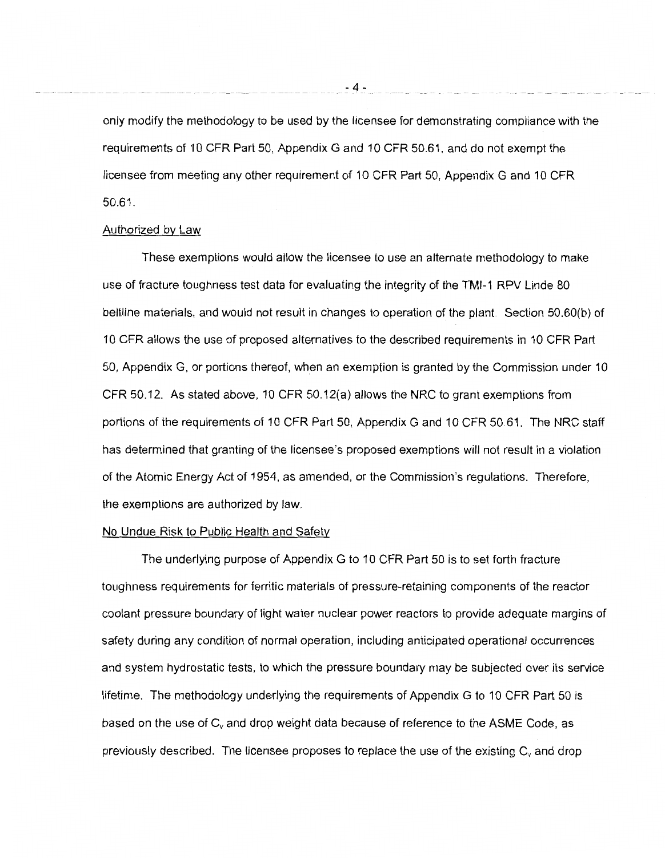only modify the methodology to be used by the licensee for demonstrating compliance with the requirements of 10 CFR Part 50, Appendix G and 10 CFR 50.61, and do not exempt the licensee from meeting any other requirement of 10 CFR Part 50, Appendix G and 10 CFR 50.61.

#### Authorized by Law

These exemptions would allow the licensee to use an alternate methodology to make use of fracture toughness test data for evaluating the integrity of the TMI-1 RPV Linde 80 beltline materials, and would not result in changes to operation of the plant. Section 50.60(b) of 10 CFR allows the use of proposed alternatives to the described requirements in 10 CFR Part 50, Appendix G, or portions thereof, when an exemption is granted by the Commission under 10 CFR 50.12. As stated above, 10 CFR 50.12(a) allows the NRC to grant exemptions from portions of the requirements of 10 CFR Part 50, Appendix G and 10 CFR 50.61. The NRC staff has determined that granting of the licensee's proposed exemptions will not result in a violation of the Atomic Energy Act of 1954, as amended, or the Commission's regulations. Therefore, the exemptions are authorized by law.

#### No Undue Risk to Public Health and Safety

The underlying purpose of Appendix G to 10 CFR Part 50 is to set forth fracture toughness requirements for ferritic materials of pressure-retaining components of the reactor coolant pressure boundary of light water nuclear power reactors to provide adequate margins of safety during any condition of normal operation, including anticipated operational occurrences and system hydrostatic tests, to which the pressure boundary may be subjected over its service lifetime. The methodology underlying the requirements of Appendix G to 10 CFR Part 50 is based on the use of  $C_v$  and drop weight data because of reference to the ASME Code, as previously described. The licensee proposes to replace the use of the existing  $C_{v}$  and drop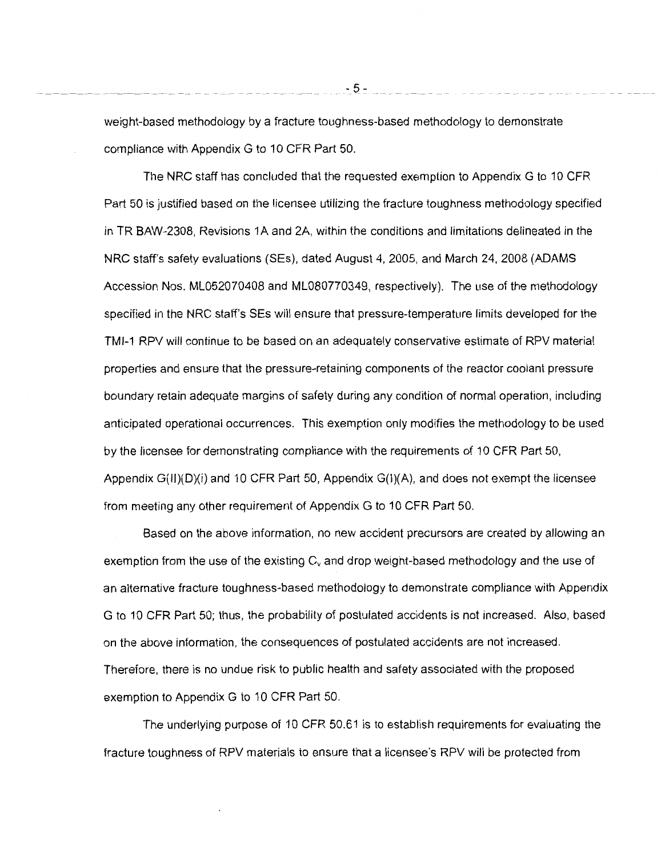weight-based methodology by a fracture toughness-based methodology to demonstrate compliance with Appendix G to 10 CFR Part 50.

The NRC staff has concluded that the requested exemption to Appendix G to 10 CFR Part 50 is justified based on the licensee utilizing the fracture toughness methodology specified in TR BAW-2308, Revisions 1A and 2A, within the conditions and limitations delineated in the NRC staff's safety evaluations (SEs), dated August 4, 2005, and March 24, 2008 (ADAMS Accession Nos. ML052070408 and ML080770349, respectively). The use of the methodology specified in the NRC staff's SEs will ensure that pressure-temperature limits developed for the TMI-1 RPV will continue to be based on an adequately conservative estimate of RPV material properties and ensure that the pressure-retaining components of the reactor coolant pressure boundary retain adequate margins of safety during any condition of normal operation, including anticipated operational occurrences. This exemption only modifies the methodology to be used by the licensee for demonstrating compliance with the requirements of 10 CFR Part 50, Appendix  $G(H)(D)(i)$  and 10 CFR Part 50, Appendix  $G(I)(A)$ , and does not exempt the licensee from meeting any other requirement of Appendix G to 10 CFR Part 50.

Based on the above information, no new accident precursors are created by allowing an exemption from the use of the existing  $C_v$  and drop weight-based methodology and the use of an alternative fracture toughness-based methodology to demonstrate compliance with Appendix G to 10 CFR Part 50; thus, the probability of postulated accidents is not increased. Also, based on the above information, the consequences of postulated accidents are not increased. Therefore, there is no undue risk to public health and safety associated with the proposed exemption to Appendix G to 10 CFR Part 50.

The underlying purpose of 10 CFR 50.61 is to establish requirements for evaluating the fracture toughness of RPV materials to ensure that a licensee's RPV will be protected from

- 5-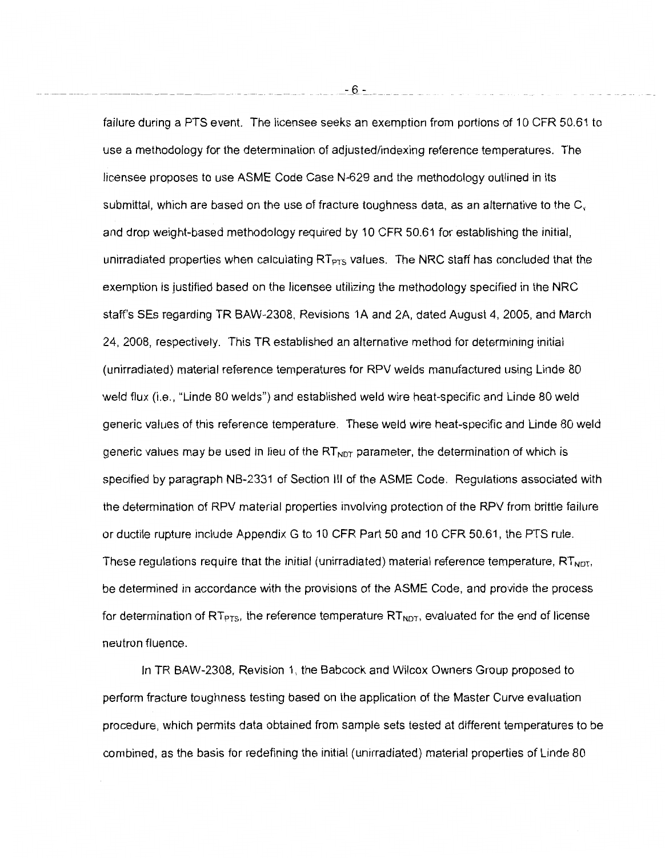failure during a PTS event. The licensee seeks an exemption from portions of 10 CFR 50.61 to use a methodology for the determination of adjusted/indexing reference temperatures. The licensee proposes to use ASME Code Case N-629 and the methodology outlined in its submittal, which are based on the use of fracture toughness data, as an alternative to the  $C_v$ and drop weight-based methodology required by 10 CFR 50.61 for establishing the initial, unirradiated properties when calculating  $RT_{PTS}$  values. The NRC staff has concluded that the exemption is justified based on the licensee utilizing the methodology specified in the NRC staff's SEs regarding TR BAW-2308, Revisions 1A and 2A, dated August 4, 2005, and March 24, 2008, respectively. This TR established an alternative method for determining initial (unirradiated) material reference temperatures for RPV welds manufactured using Linde 80 weld flux (i.e., "Linde 80 welds") and established weld wire heat-specific and Linde 80 weld generic values of this reference temperature. These weld wire heat-specific and Linde 80 weld generic values may be used in lieu of the  $RT_{NDT}$  parameter, the determination of which is specified by paragraph NB-2331 of Section Ill of the ASME Code. Regulations associated with the determination of RPV material properties involving protection of the RPV from brittle failure or ductile rupture include Appendix G to 10 CFR Part 50 and 10 CFR 50.61, the PTS rule. These requiations require that the initial (unirradiated) material reference temperature,  $RT_{NDT}$ , be determined in accordance with the provisions of the ASME Code, and provide the process for determination of  $RT_{PTS}$ , the reference temperature  $RT_{NDT}$ , evaluated for the end of license neutron fluence.

In TR BAW-2308, Revision 1, the Babcock and Wilcox Owners Group proposed to perform fracture toughness testing based on the application of the Master Curve evaluation procedure, which permits data obtained from sample sets tested at different temperatures to be combined, as the basis for redefining the initial (unirradiated) material properties of Linde 80

 $-6 -$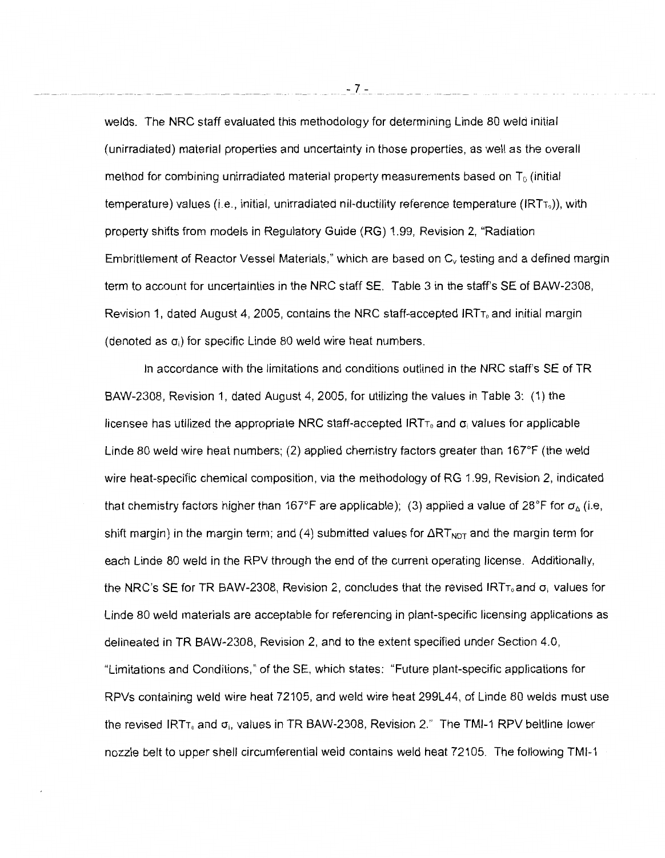welds. The NRC staff evaluated this methodology for determining Linde 80 weld initial (unirradiated) material properties and uncertainty in those properties, as well as the overall method for combining unirradiated material property measurements based on  $T_0$  (initial temperature) values (i.e., initial, unirradiated nil-ductility reference temperature ( $\text{IRT}_0$ )), with property shifts from models in Regulatory Guide (RG) 1.99, Revision 2, "Radiation Embrittlement of Reactor Vessel Materials," which are based on *Cv* testing and a defined margin term to account for uncertainties in the NRC staff SE. Table 3 in the staff's SE of BAW-2308, Revision 1, dated August 4, 2005, contains the NRC staff-accepted  $IRT<sub>T<sub>o</sub></sub>$  and initial margin (denoted as  $\sigma_i$ ) for specific Linde 80 weld wire heat numbers.

In accordance with the limitations and conditions outlined in the NRC staff's SE of TR BAW-2308, Revision 1, dated August 4, 2005, for utilizing the values in Table 3: ( 1) the licensee has utilized the appropriate NRC staff-accepted  $IRTT_0$  and  $\sigma_i$  values for applicable Linde 80 weld wire heat numbers; (2) applied chemistry factors greater than  $167^{\circ}F$  (the weld wire heat-specific chemical composition, via the methodology of RG 1.99, Revision 2, indicated that chemistry factors higher than 167°F are applicable); (3) applied a value of 28°F for  $\sigma_{\Delta}$  (i.e, shift margin) in the margin term; and (4) submitted values for  $\Delta RT_{NOT}$  and the margin term for each Linde 80 weld in the RPV through the end of the current operating license. Additionally, the NRC's SE for TR BAW-2308, Revision 2, concludes that the revised IRT<sub>10</sub> and  $\sigma_i$  values for Linde 80 weld materials are acceptable for referencing in plant-specific licensing applications as delineated in TR BAW-2308, Revision 2, and to the extent specified under Section 4.0, "Limitations and Conditions," of the SE, which states: "Future plant-specific applications for RPVs containing weld wire heat 72105, and weld wire heat 299L44, of Linde 80 welds must use the revised IRT<sub>T<sub>0</sub></sub> and  $\sigma_i$ , values in TR BAW-2308, Revision 2." The TMI-1 RPV beltline lower nozzle belt to upper shell circumferential weld contains weld heat 72105. The following TMI-1

- 7-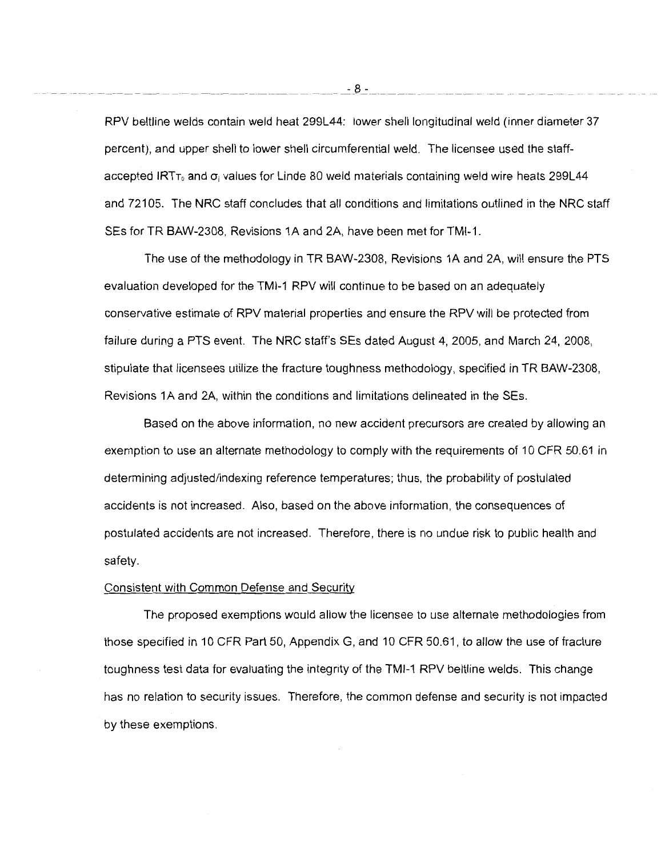RPV beltline welds contain weld heat 299L44: lower shell longitudinal weld (inner diameter 37 percent), and upper shell to lower shell circumferential weld. The licensee used the staffaccepted IRT<sub>T<sub>0</sub></sub> and  $\sigma_i$  values for Linde 80 weld materials containing weld wire heats 299L44 and 72105. The NRC staff concludes that all conditions and limitations outlined in the NRC staff SEs for TR BAW-2308, Revisions 1A and 2A, have been met for TMI-1.

The use of the methodology in TR BAW-2308, Revisions 1A and 2A, will ensure the PTS evaluation developed for the TMI-1 RPV will continue to be based on an adequately conservative estimate of RPV material properties and ensure the RPV will be protected from failure during a PTS event. The NRC staff's SEs dated August 4, 2005, and March 24, 2008, stipulate that licensees utilize the fracture toughness methodology, specified in TR BAW-2308, Revisions 1A and 2A, within the conditions and limitations delineated in theSEs.

Based on the above information, no new accident precursors are created by allowing an exemption to use an alternate methodology to comply with the requirements of 10 CFR 50.61 in determining adjusted/indexing reference temperatures; thus, the probability of postulated accidents is not increased. Also, based on the above information, the consequences of postulated accidents are not increased. Therefore, there is no undue risk to public health and safety.

#### Consistent with Common Defense and Security

The proposed exemptions would allow the licensee to use alternate methodologies from those specified in 10 CFR Part 50, Appendix G, and 10 CFR 50.61, to allow the use of fracture \_toughness test data for evaluating the integrity of the TMI-1 RPV beltline welds. This change has no relation to security issues. Therefore, the common defense and security is not impacted by these exemptions.

-- ---------------- -- ------- --~--------- --------- --- \_\_ -:\_8\_:- \_\_\_\_ --------~- --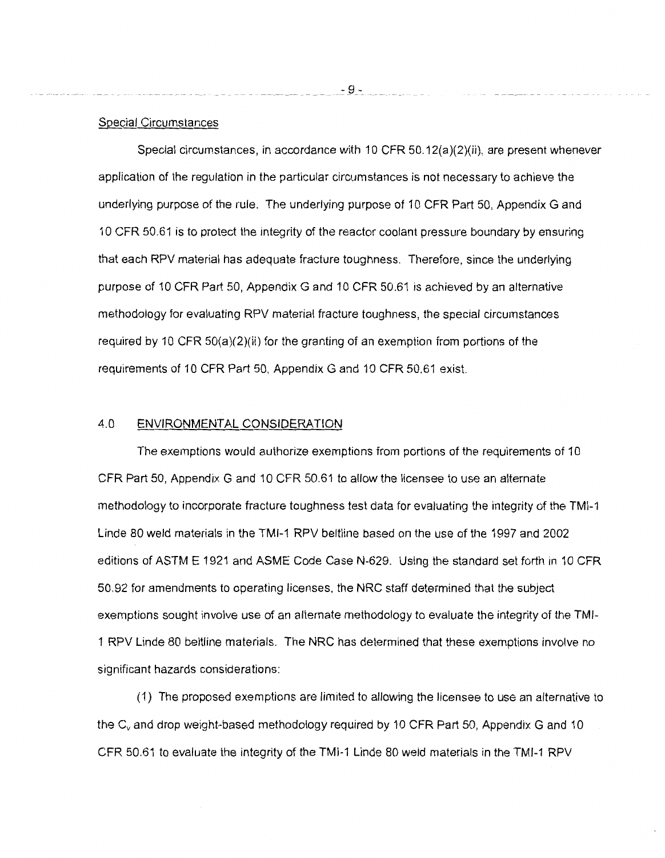## Special Circumstances

Special circumstances, in accordance with 10 CFR  $50.12(a)(2)(ii)$ , are present whenever application of the regulation in the particular circumstances is not necessary to achieve the underlying purpose of the rule. The underlying purpose of 10 CFR Part 50, Appendix G and 10 CFR 50.61 is to protect the integrity of the reactor coolant pressure boundary by ensuring that each RPV material has adequate fracture toughness. Therefore, since the underlying purpose of 10 CFR Part 50, Appendix G and 10 CFR 50.61 is achieved by an alternative methodology for evaluating RPV material fracture toughness, the special circumstances required by 10 CFR 50(a)(2)(ii) for the granting of an exemption from portions of the requirements of 10 CFR Part 50, Appendix G and 10 CFR 50.61 exist.

## 4.0 ENVIRONMENTAL CONSIDERATION

The exemptions would authorize exemptions from portions of the requirements of 10 CFR Part 50, Appendix G and 10 CFR 50.61 to allow the licensee to use an alternate methodology to incorporate fracture toughness test data for evaluating the integrity of the TMI-1 Linde 80 weld materials in the TMI-1 RPV beltline based on the use of the 1997 and 2002 editions of ASTM E 1921 and ASME Code Case N-629. Using the standard set forth in 10 CFR 50.92 for amendments to operating licenses, the NRC staff determined that the subject exemptions sought involve use of an alternate methodology to evaluate the integrity of the TMl-1 RPV Linde 80 beltline materials. The NRC has determined that these exemptions involve no significant hazards considerations:

( 1) The proposed exemptions are limited to allowing the licensee to use an alternative to the C<sub>v</sub> and drop weight-based methodology required by 10 CFR Part 50, Appendix G and 10 CFR 50.61 to evaluate the integrity of the TMI-1 Linde 80 weld materials in the TMI-1 RPV

 $-9 -$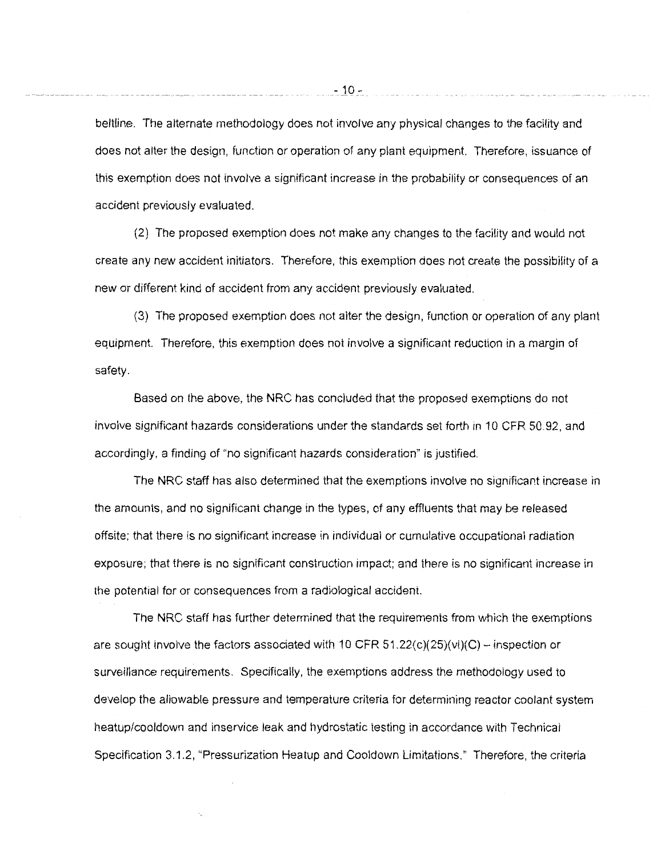beltline. The alternate methodology does not involve any physical changes to the facility and does not alter the design, function or operation of any plant equipment. Therefore, issuance of this exemption does not involve a significant increase in the probability or consequences of an accident previously evaluated.

(2) The proposed exemption does not make any changes to the facility and would not create any new accident initiators. Therefore, this exemption does not create the possibility of a new or different kind of accident from any accident previously evaluated.

(3) The proposed exemption does not alter the design, function or operation of any plant equipment. Therefore, this exemption does not involve a significant reduction in a margin of safety.

Based on the above, the NRC has concluded that the proposed exemptions do not involve significant hazards considerations under the standards set forth in 10 CFR 50.92, and accordingly, a finding of "no significant hazards consideration" is justified.

The NRC staff has also determined that the exemptions involve no significant increase in the amounts, and no significant change in the types, of any effluents that may be released offsite; that there is no significant increase in individual or cumulative occupational radiation exposure; that there is no significant construction impact; and there is no significant increase in the potential for or consequences from a radiological accident.

The NRC staff has further determined that the requirements from which the exemptions are sought involve the factors associated with 10 CFR 51.22( $c$ )( $25$ )( $vi$ )(C) – inspection or surveillance requirements. Specifically, the exemptions address the methodology used to develop the allowable pressure and temperature criteria for determining reactor coolant system heatup/cooldown and inservice leak and hydrostatic testing in accordance with Technical Specification 3.1.2, "Pressurization Heatup and Cooldown Limitations." Therefore, the criteria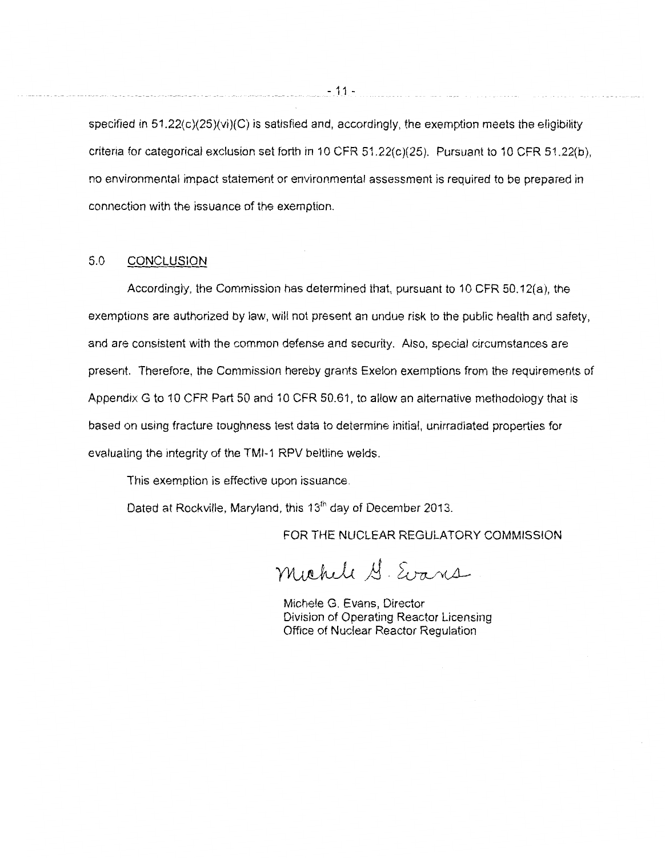specified in 51.22(c)(25)(vi)(C) is satisfied and, accordingly, the exemption meets the eligibility criteria for categorical exclusion set forth in 10 CFR  $51.22(c)(25)$ . Pursuant to 10 CFR  $51.22(b)$ , no environmental impact statement or environmental assessment is required to be prepared in connection with the issuance of the exemption.

# 5.0 CONCLUSION

Accordingly, the Commission has determined that, pursuant to 10 CFR 50.12(a), the exemptions are authorized by law, will not present an undue risk to the public health and safety, and are consistent with the common defense and security. Also, special circumstances are present. Therefore, the Commission hereby grants Exelon exemptions from the requirements of Appendix G to 10 CFR Part 50 and 10 CFR 50.61, to allow an alternative methodology that is based on using fracture toughness test data to determine initial, unirradiated properties for evaluating the integrity of the TMI-1 RPV beltline welds.

This exemption is effective upon issuance.

Dated at Rockville, Maryland, this 13<sup>th</sup> day of December 2013.

FOR THE NUCLEAR REGULATORY COMMISSION

Michele G. Evans

Michele G. Evans, Director Division of Operating Reactor Licensing Office of Nuclear Reactor Regulation